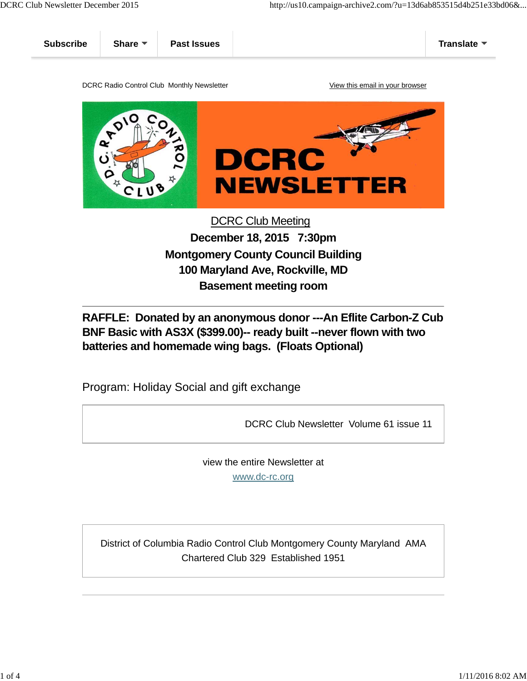



## DCRC Club Meeting **December 18, 2015 7:30pm Montgomery County Council Building 100 Maryland Ave, Rockville, MD Basement meeting room**

**RAFFLE: Donated by an anonymous donor ---An Eflite Carbon-Z Cub BNF Basic with AS3X (\$399.00)-- ready built --never flown with two batteries and homemade wing bags. (Floats Optional)**

Program: Holiday Social and gift exchange

DCRC Club Newsletter Volume 61 issue 11

view the entire Newsletter at

www.dc-rc.org

District of Columbia Radio Control Club Montgomery County Maryland AMA Chartered Club 329 Established 1951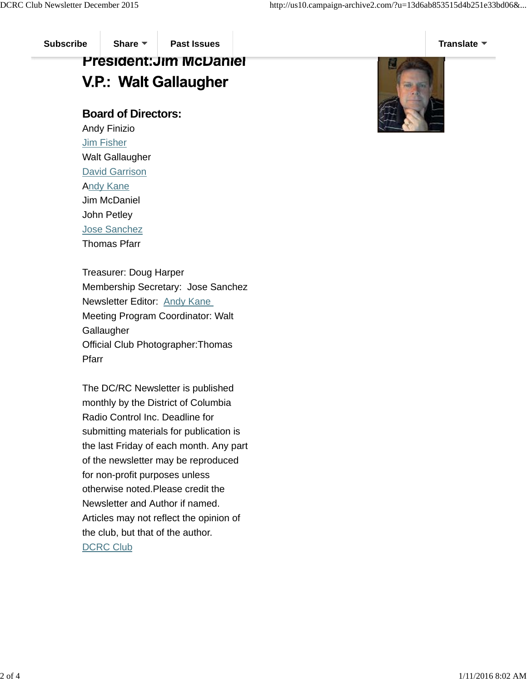## **President: Jim McDaniel V.P.: Walt Gallaugher**

## **Board of Directors:**

Andy Finizio Jim Fisher Walt Gallaugher David Garrison Andy Kane Jim McDaniel John Petley Jose Sanchez Thomas Pfarr

Treasurer: Doug Harper Membership Secretary: Jose Sanchez Newsletter Editor: Andy Kane Meeting Program Coordinator: Walt **Gallaugher** Official Club Photographer:Thomas Pfarr

The DC/RC Newsletter is published monthly by the District of Columbia Radio Control Inc. Deadline for submitting materials for publication is the last Friday of each month. Any part of the newsletter may be reproduced for non-profit purposes unless otherwise noted.Please credit the Newsletter and Author if named. Articles may not reflect the opinion of the club, but that of the author. DCRC Club

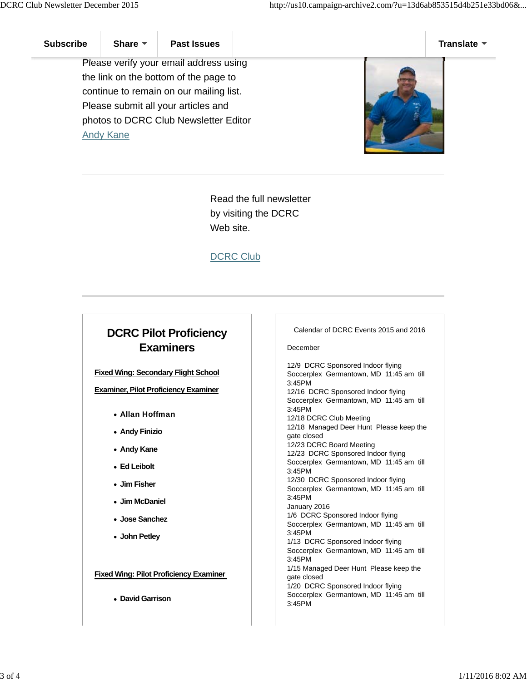Please verify your email address using the link on the bottom of the page to continue to remain on our mailing list. Please submit all your articles and photos to DCRC Club Newsletter Editor Andy Kane



Read the full newsletter by visiting the DCRC Web site.

DCRC Club

## **DCRC Pilot Proficiency Examiners**

**Fixed Wing: Secondary Flight School**

**Examiner, Pilot Proficiency Examiner**

- Allan Hoffman
- **Andy Finizio**
- **Andy Kane**
- **Ed Leibolt**
- **Jim Fisher**
- **Jim McDaniel**
- **Jose Sanchez**
- **John Petley**

**Fixed Wing: Pilot Proficiency Examiner** 

**David Garrison** 

Calendar of DCRC Events 2015 and 2016

December

12/9 DCRC Sponsored Indoor flying Soccerplex Germantown, MD 11:45 am till 3:45PM 12/16 DCRC Sponsored Indoor flying Soccerplex Germantown, MD 11:45 am till 3:45PM 12/18 DCRC Club Meeting 12/18 Managed Deer Hunt Please keep the gate closed 12/23 DCRC Board Meeting 12/23 DCRC Sponsored Indoor flying Soccerplex Germantown, MD 11:45 am till 3:45PM 12/30 DCRC Sponsored Indoor flying Soccerplex Germantown, MD 11:45 am till 3:45PM January 2016 1/6 DCRC Sponsored Indoor flying Soccerplex Germantown, MD 11:45 am till 3:45PM 1/13 DCRC Sponsored Indoor flying Soccerplex Germantown, MD 11:45 am till 3:45PM 1/15 Managed Deer Hunt Please keep the gate closed 1/20 DCRC Sponsored Indoor flying Soccerplex Germantown, MD 11:45 am till 3:45PM